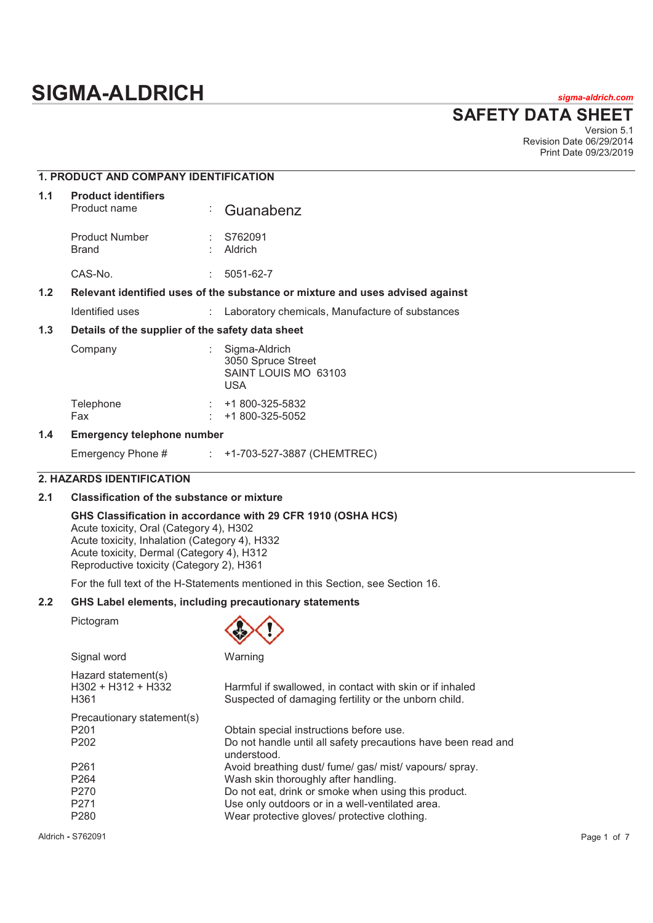# **SIGMA-ALDRICH** *sigma-aldrich.com*

**SAFETY DATA SHEET**

Version 5.1 Revision Date 06/29/2014 Print Date 09/23/2019

|                                                                                                   | <b>1. PRODUCT AND COMPANY IDENTIFICATION</b> |                                                  |                                                                           |  |
|---------------------------------------------------------------------------------------------------|----------------------------------------------|--------------------------------------------------|---------------------------------------------------------------------------|--|
| 1.1                                                                                               | <b>Product identifiers</b><br>Product name   | ÷                                                | Guanabenz                                                                 |  |
|                                                                                                   | <b>Product Number</b><br>Brand               |                                                  | S762091<br>Aldrich                                                        |  |
|                                                                                                   | CAS-No.                                      |                                                  | 5051-62-7                                                                 |  |
| 1.2 <sub>2</sub><br>Relevant identified uses of the substance or mixture and uses advised against |                                              |                                                  |                                                                           |  |
|                                                                                                   | Identified uses                              |                                                  | Laboratory chemicals, Manufacture of substances                           |  |
| 1.3                                                                                               |                                              | Details of the supplier of the safety data sheet |                                                                           |  |
|                                                                                                   | Company                                      |                                                  | Sigma-Aldrich<br>3050 Spruce Street<br>SAINT LOUIS MO 63103<br><b>USA</b> |  |
|                                                                                                   | Telephone<br>Fax                             |                                                  | $\div$ +1 800-325-5832<br>+1 800-325-5052                                 |  |
| $\overline{A}$                                                                                    | European ann an Antonio ann an Iomraid an    |                                                  |                                                                           |  |

# **1.4 Emergency telephone number**

Emergency Phone # : +1-703-527-3887 (CHEMTREC)

# **2. HAZARDS IDENTIFICATION**

# **2.1 Classification of the substance or mixture**

# **GHS Classification in accordance with 29 CFR 1910 (OSHA HCS)**

Acute toxicity, Oral (Category 4), H302 Acute toxicity, Inhalation (Category 4), H332 Acute toxicity, Dermal (Category 4), H312 Reproductive toxicity (Category 2), H361

For the full text of the H-Statements mentioned in this Section, see Section 16.

# **2.2 GHS Label elements, including precautionary statements**

Pictogram



| Signal word                                         | Warning                                                                                                          |
|-----------------------------------------------------|------------------------------------------------------------------------------------------------------------------|
| Hazard statement(s)<br>$H302 + H312 + H332$<br>H361 | Harmful if swallowed, in contact with skin or if inhaled<br>Suspected of damaging fertility or the unborn child. |
| Precautionary statement(s)                          |                                                                                                                  |
| P <sub>201</sub>                                    | Obtain special instructions before use.                                                                          |
| P <sub>202</sub>                                    | Do not handle until all safety precautions have been read and<br>understood.                                     |
| P <sub>261</sub>                                    | Avoid breathing dust/ fume/ gas/ mist/ vapours/ spray.                                                           |
| P <sub>264</sub>                                    | Wash skin thoroughly after handling.                                                                             |
| P <sub>270</sub>                                    | Do not eat, drink or smoke when using this product.                                                              |
| P <sub>271</sub>                                    | Use only outdoors or in a well-ventilated area.                                                                  |
| P <sub>280</sub>                                    | Wear protective gloves/ protective clothing.                                                                     |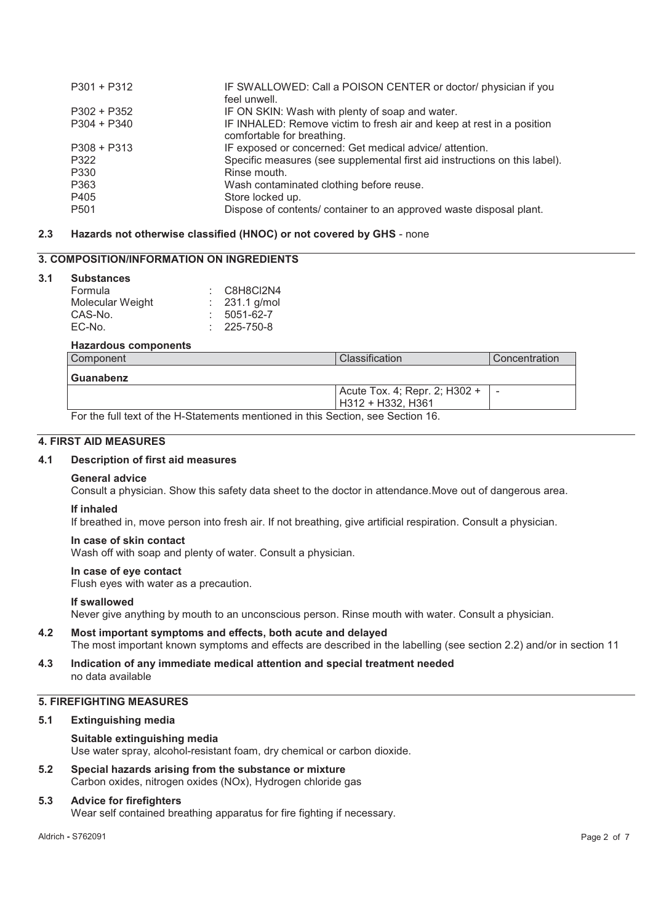| $P301 + P312$    | IF SWALLOWED: Call a POISON CENTER or doctor/ physician if you<br>feel unwell. |
|------------------|--------------------------------------------------------------------------------|
| $P302 + P352$    | IF ON SKIN: Wash with plenty of soap and water.                                |
|                  |                                                                                |
| $P304 + P340$    | IF INHALED: Remove victim to fresh air and keep at rest in a position          |
|                  | comfortable for breathing.                                                     |
| $P308 + P313$    | IF exposed or concerned: Get medical advice/attention.                         |
| P322             | Specific measures (see supplemental first aid instructions on this label).     |
| P330             | Rinse mouth.                                                                   |
| P363             | Wash contaminated clothing before reuse.                                       |
| P405             | Store locked up.                                                               |
| P <sub>501</sub> | Dispose of contents/ container to an approved waste disposal plant.            |

# **2.3 Hazards not otherwise classified (HNOC) or not covered by GHS** - none

# **3. COMPOSITION/INFORMATION ON INGREDIENTS**

#### **3.1 Substances**

| ------------     |                        |
|------------------|------------------------|
| Formula          | $\therefore$ C8H8Cl2N4 |
| Molecular Weight | : $231.1$ g/mol        |
| CAS-No.          | 5051-62-7              |
| EC-No.           | $: 225 - 750 - 8$      |
|                  |                        |

# **Hazardous components**

| l Component                                                                    | Classification                | Concentration            |
|--------------------------------------------------------------------------------|-------------------------------|--------------------------|
| Guanabenz                                                                      |                               |                          |
|                                                                                | Acute Tox. 4; Repr. 2; H302 + | $\overline{\phantom{a}}$ |
|                                                                                | H312 + H332. H361             |                          |
| For the full text of the H-Statements mentioned in this Section see Section 16 |                               |                          |

Statements mentioned in this S

# **4. FIRST AID MEASURES**

### **4.1 Description of first aid measures**

### **General advice**

Consult a physician. Show this safety data sheet to the doctor in attendance.Move out of dangerous area.

# **If inhaled**

If breathed in, move person into fresh air. If not breathing, give artificial respiration. Consult a physician.

# **In case of skin contact**

Wash off with soap and plenty of water. Consult a physician.

# **In case of eye contact**

Flush eyes with water as a precaution.

### **If swallowed**

Never give anything by mouth to an unconscious person. Rinse mouth with water. Consult a physician.

- **4.2 Most important symptoms and effects, both acute and delayed**  The most important known symptoms and effects are described in the labelling (see section 2.2) and/or in section 11
- **4.3 Indication of any immediate medical attention and special treatment needed**  no data available

# **5. FIREFIGHTING MEASURES**

### **5.1 Extinguishing media**

### **Suitable extinguishing media**

Use water spray, alcohol-resistant foam, dry chemical or carbon dioxide.

**5.2 Special hazards arising from the substance or mixture**  Carbon oxides, nitrogen oxides (NOx), Hydrogen chloride gas

### **5.3 Advice for firefighters**

Wear self contained breathing apparatus for fire fighting if necessary.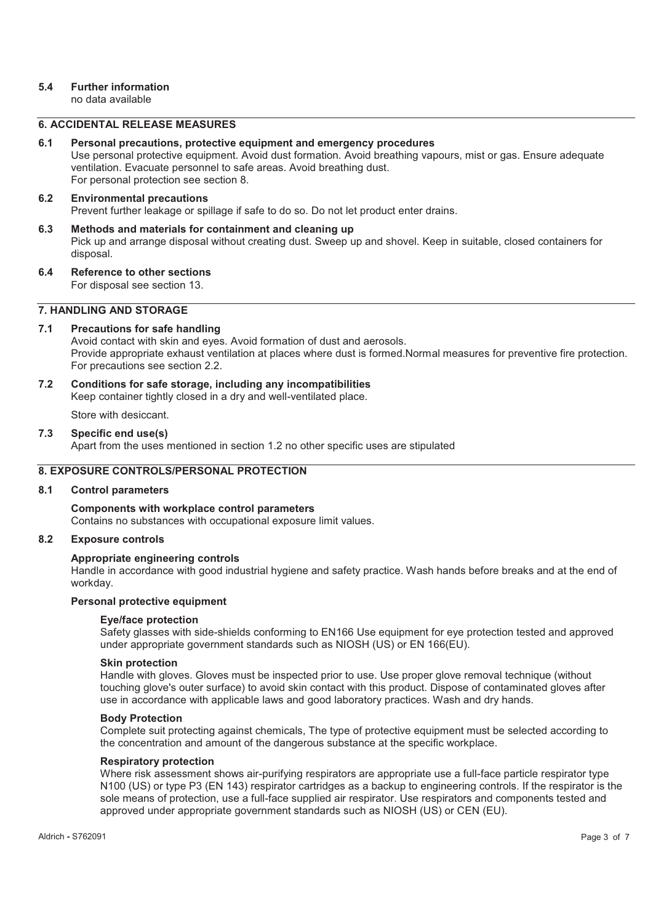# **5.4 Further information**

no data available

# **6. ACCIDENTAL RELEASE MEASURES**

### **6.1 Personal precautions, protective equipment and emergency procedures**

Use personal protective equipment. Avoid dust formation. Avoid breathing vapours, mist or gas. Ensure adequate ventilation. Evacuate personnel to safe areas. Avoid breathing dust. For personal protection see section 8.

# **6.2 Environmental precautions**

Prevent further leakage or spillage if safe to do so. Do not let product enter drains.

# **6.3 Methods and materials for containment and cleaning up**  Pick up and arrange disposal without creating dust. Sweep up and shovel. Keep in suitable, closed containers for disposal.

**6.4 Reference to other sections**  For disposal see section 13.

# **7. HANDLING AND STORAGE**

# **7.1 Precautions for safe handling**

Avoid contact with skin and eyes. Avoid formation of dust and aerosols. Provide appropriate exhaust ventilation at places where dust is formed.Normal measures for preventive fire protection. For precautions see section 2.2.

**7.2 Conditions for safe storage, including any incompatibilities** 

Keep container tightly closed in a dry and well-ventilated place.

Store with desiccant.

### **7.3 Specific end use(s)**

Apart from the uses mentioned in section 1.2 no other specific uses are stipulated

# **8. EXPOSURE CONTROLS/PERSONAL PROTECTION**

### **8.1 Control parameters**

# **Components with workplace control parameters**  Contains no substances with occupational exposure limit values.

### **8.2 Exposure controls**

# **Appropriate engineering controls**

Handle in accordance with good industrial hygiene and safety practice. Wash hands before breaks and at the end of workday.

### **Personal protective equipment**

### **Eye/face protection**

Safety glasses with side-shields conforming to EN166 Use equipment for eye protection tested and approved under appropriate government standards such as NIOSH (US) or EN 166(EU).

### **Skin protection**

Handle with gloves. Gloves must be inspected prior to use. Use proper glove removal technique (without touching glove's outer surface) to avoid skin contact with this product. Dispose of contaminated gloves after use in accordance with applicable laws and good laboratory practices. Wash and dry hands.

### **Body Protection**

Complete suit protecting against chemicals, The type of protective equipment must be selected according to the concentration and amount of the dangerous substance at the specific workplace.

### **Respiratory protection**

Where risk assessment shows air-purifying respirators are appropriate use a full-face particle respirator type N100 (US) or type P3 (EN 143) respirator cartridges as a backup to engineering controls. If the respirator is the sole means of protection, use a full-face supplied air respirator. Use respirators and components tested and approved under appropriate government standards such as NIOSH (US) or CEN (EU).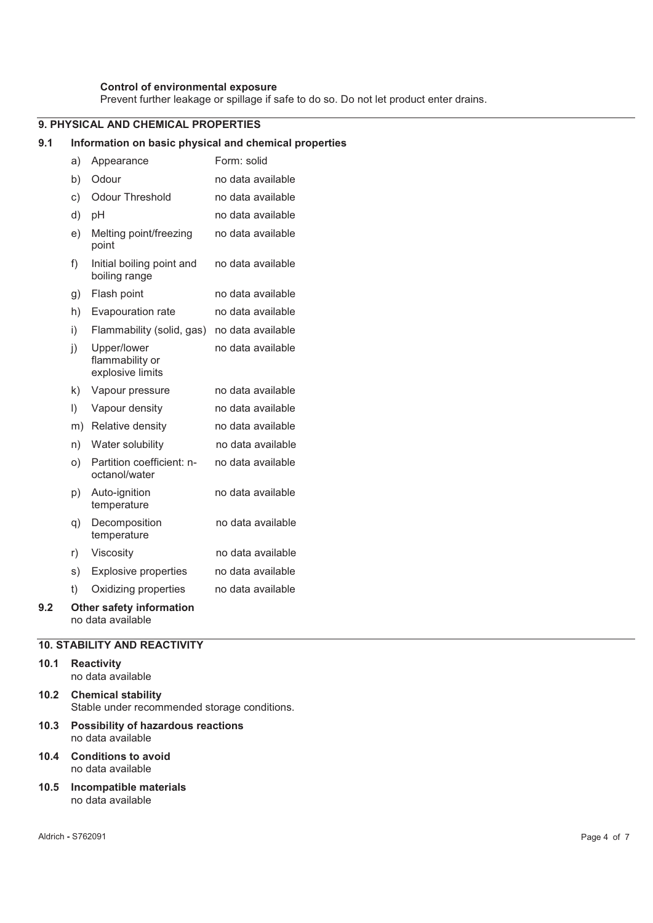# **Control of environmental exposure**

Prevent further leakage or spillage if safe to do so. Do not let product enter drains.

# **9. PHYSICAL AND CHEMICAL PROPERTIES**

### **9.1 Information on basic physical and chemical properties**

|     | a)        | Appearance                                           | Form: solid       |
|-----|-----------|------------------------------------------------------|-------------------|
|     | b)        | Odour                                                | no data available |
|     | c)        | <b>Odour Threshold</b>                               | no data available |
|     | d)        | pH                                                   | no data available |
|     | e)        | Melting point/freezing<br>point                      | no data available |
|     | f)        | Initial boiling point and<br>boiling range           | no data available |
|     | g)        | Flash point                                          | no data available |
|     | h)        | Evapouration rate                                    | no data available |
|     | i)        | Flammability (solid, gas)                            | no data available |
|     | j)        | Upper/lower<br>flammability or<br>explosive limits   | no data available |
|     | k)        | Vapour pressure                                      | no data available |
|     | $\vert$ ) | Vapour density                                       | no data available |
|     | m)        | Relative density                                     | no data available |
|     | n)        | Water solubility                                     | no data available |
|     | O)        | Partition coefficient: n-<br>octanol/water           | no data available |
|     | p)        | Auto-ignition<br>temperature                         | no data available |
|     | q)        | Decomposition<br>temperature                         | no data available |
|     | r)        | Viscosity                                            | no data available |
|     | s)        | <b>Explosive properties</b>                          | no data available |
|     | t)        | Oxidizing properties                                 | no data available |
| 9.2 |           | <b>Other safety information</b><br>no data available |                   |

# **10. STABILITY AND REACTIVITY**

### **10.1 Reactivity**  no data available

- **10.2 Chemical stability**  Stable under recommended storage conditions.
- **10.3 Possibility of hazardous reactions**  no data available
- **10.4 Conditions to avoid**  no data available
- **10.5 Incompatible materials**  no data available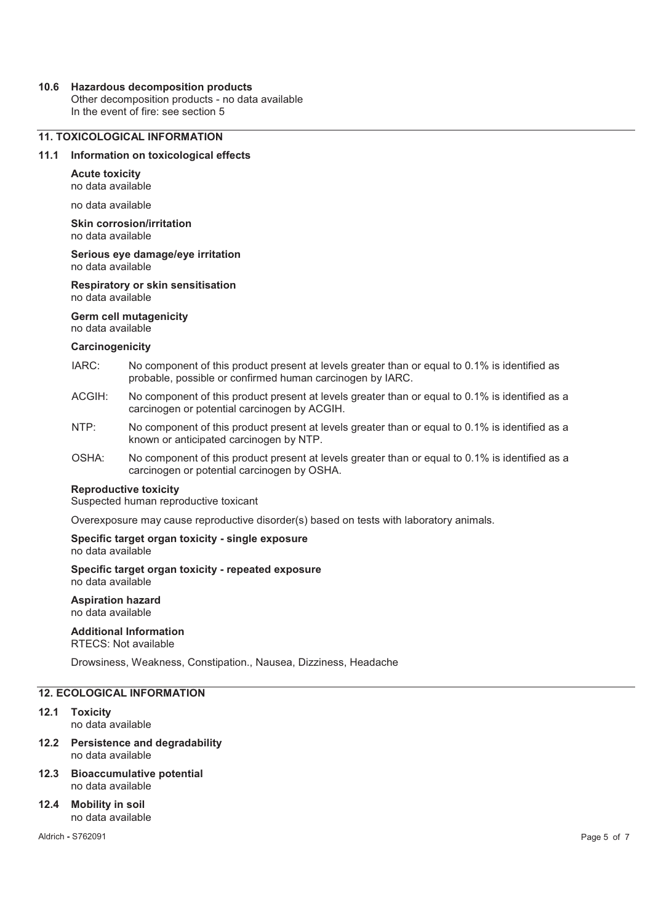### **10.6 Hazardous decomposition products**

Other decomposition products - no data available In the event of fire: see section 5

# **11. TOXICOLOGICAL INFORMATION**

### **11.1 Information on toxicological effects**

**Acute toxicity**  no data available

no data available

**Skin corrosion/irritation**  no data available

**Serious eye damage/eye irritation**  no data available

**Respiratory or skin sensitisation**  no data available

**Germ cell mutagenicity** 

no data available

#### **Carcinogenicity**

- IARC: No component of this product present at levels greater than or equal to 0.1% is identified as probable, possible or confirmed human carcinogen by IARC.
- ACGIH: No component of this product present at levels greater than or equal to 0.1% is identified as a carcinogen or potential carcinogen by ACGIH.
- NTP: No component of this product present at levels greater than or equal to 0.1% is identified as a known or anticipated carcinogen by NTP.
- OSHA: No component of this product present at levels greater than or equal to 0.1% is identified as a carcinogen or potential carcinogen by OSHA.

#### **Reproductive toxicity**

Suspected human reproductive toxicant

Overexposure may cause reproductive disorder(s) based on tests with laboratory animals.

#### **Specific target organ toxicity - single exposure**  no data available

**Specific target organ toxicity - repeated exposure**  no data available

**Aspiration hazard**  no data available

# **Additional Information**

RTECS: Not available

Drowsiness, Weakness, Constipation., Nausea, Dizziness, Headache

# **12. ECOLOGICAL INFORMATION**

- **12.1 Toxicity**  no data available
- **12.2 Persistence and degradability**  no data available
- **12.3 Bioaccumulative potential**  no data available
- **12.4 Mobility in soil**  no data available

Aldrich **-** S762091 Page 5 of 7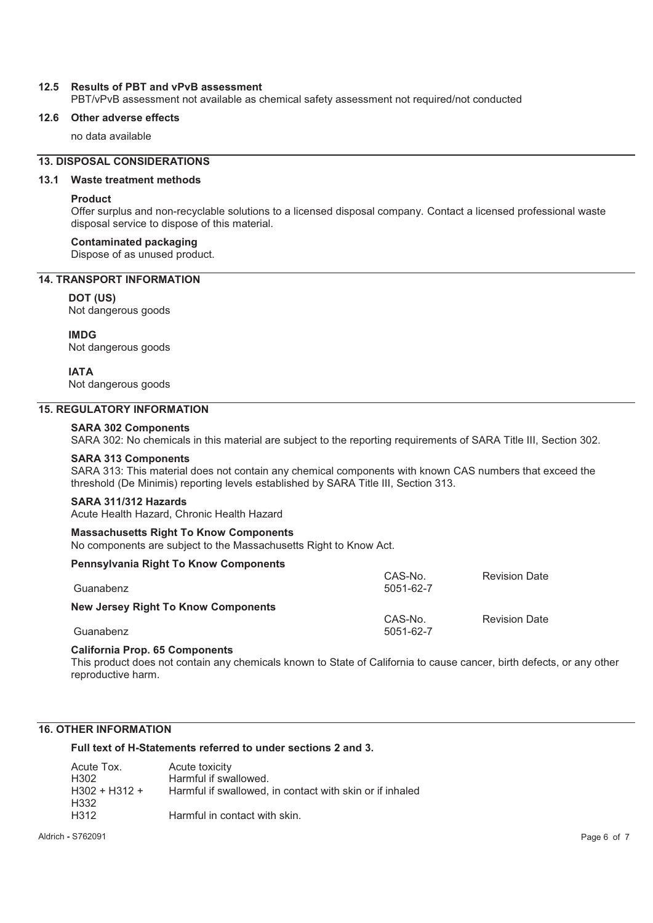### **12.5 Results of PBT and vPvB assessment**

PBT/vPvB assessment not available as chemical safety assessment not required/not conducted

### **12.6 Other adverse effects**

no data available

# **13. DISPOSAL CONSIDERATIONS**

### **13.1 Waste treatment methods**

### **Product**

Offer surplus and non-recyclable solutions to a licensed disposal company. Contact a licensed professional waste disposal service to dispose of this material.

### **Contaminated packaging**

Dispose of as unused product.

# **14. TRANSPORT INFORMATION**

#### **DOT (US)**

Not dangerous goods

### **IMDG**

Not dangerous goods

### **IATA**

Not dangerous goods

### **15. REGULATORY INFORMATION**

# **SARA 302 Components**

SARA 302: No chemicals in this material are subject to the reporting requirements of SARA Title III, Section 302.

#### **SARA 313 Components**

SARA 313: This material does not contain any chemical components with known CAS numbers that exceed the threshold (De Minimis) reporting levels established by SARA Title III, Section 313.

### **SARA 311/312 Hazards**

Acute Health Hazard, Chronic Health Hazard

#### **Massachusetts Right To Know Components**

No components are subject to the Massachusetts Right to Know Act.

### **Pennsylvania Right To Know Components**

| Guanabenz                           | CAS-No.<br>5051-62-7 | <b>Revision Date</b> |
|-------------------------------------|----------------------|----------------------|
| New Jersey Right To Know Components | CAS-No.              | <b>Revision Date</b> |
| Guanabenz                           | 5051-62-7            |                      |

### **California Prop. 65 Components**

This product does not contain any chemicals known to State of California to cause cancer, birth defects, or any other reproductive harm.

# **16. OTHER INFORMATION**

**Full text of H-Statements referred to under sections 2 and 3.** 

| Acute Tox.      | Acute toxicity                                           |
|-----------------|----------------------------------------------------------|
| H302            | Harmful if swallowed.                                    |
| $H302 + H312 +$ | Harmful if swallowed, in contact with skin or if inhaled |
| H332            |                                                          |
| H312            | Harmful in contact with skin.                            |